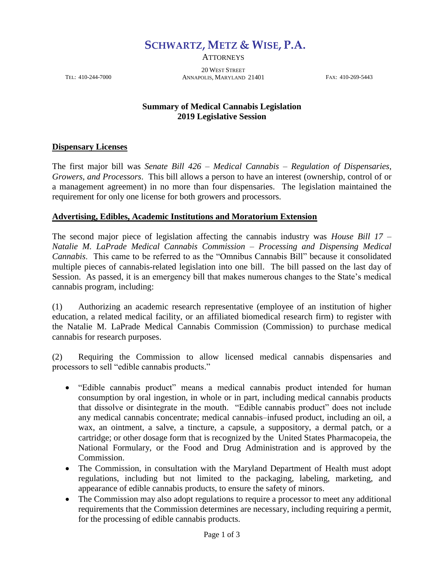**SCHWARTZ, METZ & WISE, P.A.**

**ATTORNEYS** 

20 WEST STREET TEL: 410-244-7000 ANNAPOLIS, MARYLAND 21401 FAX: 410-269-5443

## **Summary of Medical Cannabis Legislation 2019 Legislative Session**

## **Dispensary Licenses**

The first major bill was *Senate Bill 426 – Medical Cannabis – Regulation of Dispensaries, Growers, and Processors*. This bill allows a person to have an interest (ownership, control of or a management agreement) in no more than four dispensaries. The legislation maintained the requirement for only one license for both growers and processors.

## **Advertising, Edibles, Academic Institutions and Moratorium Extension**

The second major piece of legislation affecting the cannabis industry was *House Bill 17 – Natalie M. LaPrade Medical Cannabis Commission – Processing and Dispensing Medical Cannabis*. This came to be referred to as the "Omnibus Cannabis Bill" because it consolidated multiple pieces of cannabis-related legislation into one bill. The bill passed on the last day of Session. As passed, it is an emergency bill that makes numerous changes to the State's medical cannabis program, including:

(1) Authorizing an academic research representative (employee of an institution of higher education, a related medical facility, or an affiliated biomedical research firm) to register with the Natalie M. LaPrade Medical Cannabis Commission (Commission) to purchase medical cannabis for research purposes.

(2) Requiring the Commission to allow licensed medical cannabis dispensaries and processors to sell "edible cannabis products."

- "Edible cannabis product" means a medical cannabis product intended for human consumption by oral ingestion, in whole or in part, including medical cannabis products that dissolve or disintegrate in the mouth. "Edible cannabis product" does not include any medical cannabis concentrate; medical cannabis–infused product, including an oil, a wax, an ointment, a salve, a tincture, a capsule, a suppository, a dermal patch, or a cartridge; or other dosage form that is recognized by the United States Pharmacopeia, the National Formulary, or the Food and Drug Administration and is approved by the Commission.
- The Commission, in consultation with the Maryland Department of Health must adopt regulations, including but not limited to the packaging, labeling, marketing, and appearance of edible cannabis products, to ensure the safety of minors.
- The Commission may also adopt regulations to require a processor to meet any additional requirements that the Commission determines are necessary, including requiring a permit, for the processing of edible cannabis products.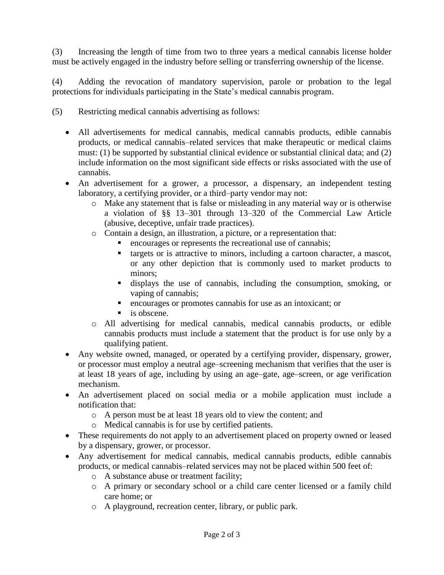(3) Increasing the length of time from two to three years a medical cannabis license holder must be actively engaged in the industry before selling or transferring ownership of the license.

(4) Adding the revocation of mandatory supervision, parole or probation to the legal protections for individuals participating in the State's medical cannabis program.

- (5) Restricting medical cannabis advertising as follows:
	- All advertisements for medical cannabis, medical cannabis products, edible cannabis products, or medical cannabis–related services that make therapeutic or medical claims must: (1) be supported by substantial clinical evidence or substantial clinical data; and (2) include information on the most significant side effects or risks associated with the use of cannabis.
	- An advertisement for a grower, a processor, a dispensary, an independent testing laboratory, a certifying provider, or a third–party vendor may not:
		- o Make any statement that is false or misleading in any material way or is otherwise a violation of §§ 13–301 through 13–320 of the Commercial Law Article (abusive, deceptive, unfair trade practices).
		- o Contain a design, an illustration, a picture, or a representation that:
			- encourages or represents the recreational use of cannabis;
			- targets or is attractive to minors, including a cartoon character, a mascot, or any other depiction that is commonly used to market products to minors;
			- displays the use of cannabis, including the consumption, smoking, or vaping of cannabis;
			- encourages or promotes cannabis for use as an intoxicant; or
			- is obscene.
		- o All advertising for medical cannabis, medical cannabis products, or edible cannabis products must include a statement that the product is for use only by a qualifying patient.
	- Any website owned, managed, or operated by a certifying provider, dispensary, grower, or processor must employ a neutral age–screening mechanism that verifies that the user is at least 18 years of age, including by using an age–gate, age–screen, or age verification mechanism.
	- An advertisement placed on social media or a mobile application must include a notification that:
		- o A person must be at least 18 years old to view the content; and
		- o Medical cannabis is for use by certified patients.
	- These requirements do not apply to an advertisement placed on property owned or leased by a dispensary, grower, or processor.
	- Any advertisement for medical cannabis, medical cannabis products, edible cannabis products, or medical cannabis–related services may not be placed within 500 feet of:
		- o A substance abuse or treatment facility;
		- o A primary or secondary school or a child care center licensed or a family child care home; or
		- o A playground, recreation center, library, or public park.